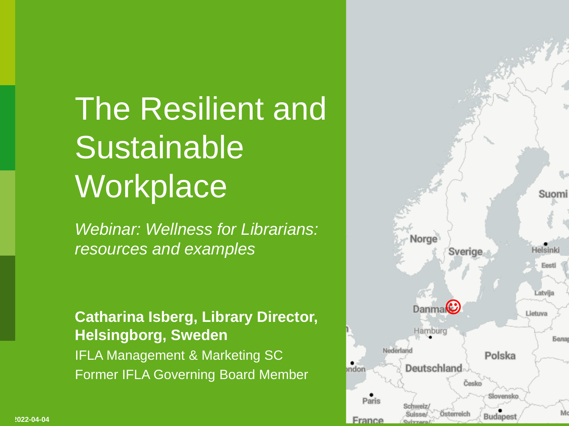#### The Resilient and Sustainable **Workplace**

*Webinar: Wellness for Librarians: resources and examples*

#### **Catharina Isberg, Library Director, Helsingborg, Sweden** IFLA Management & Marketing SC Former IFLA Governing Board Member

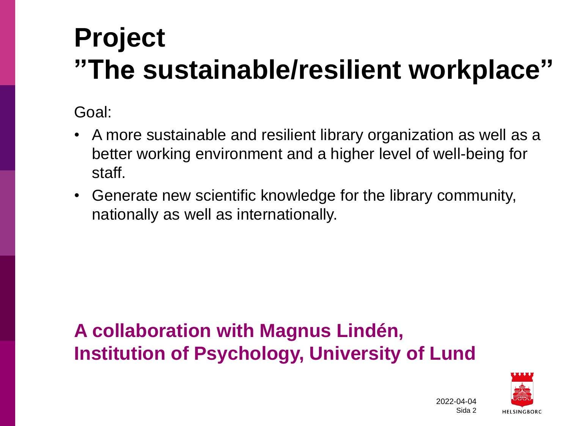#### **Project "The sustainable/resilient workplace"**

Goal:

**2022-04-04**

- A more sustainable and resilient library organization as well as a better working environment and a higher level of well-being for staff.
- Generate new scientific knowledge for the library community, nationally as well as internationally.

#### **A collaboration with Magnus Lindén, Institution of Psychology, University of Lund**

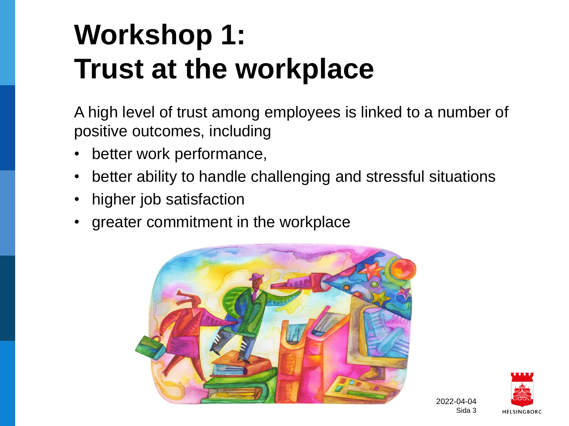#### **Workshop 1: Trust at the workplace**

A high level of trust among employees is linked to a number of positive outcomes, including

- better work performance,
- better ability to handle challenging and stressful situations
- higher job satisfaction

**2022-04-04**

• greater commitment in the workplace



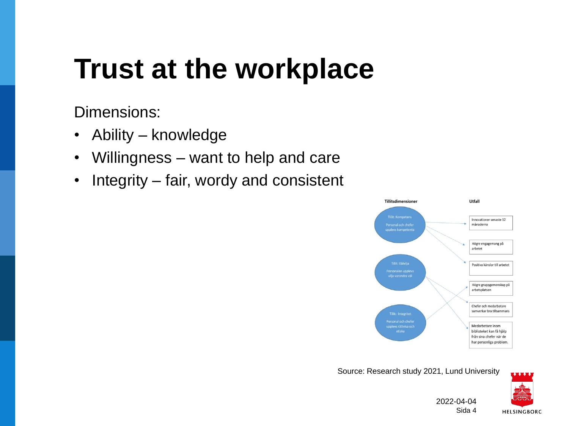#### **Trust at the workplace**

Dimensions:

**2022-04-04**

- Ability knowledge
- Willingness want to help and care
- Integrity fair, wordy and consistent



Source: Research study 2021, Lund University



2022-04-04 Sida 4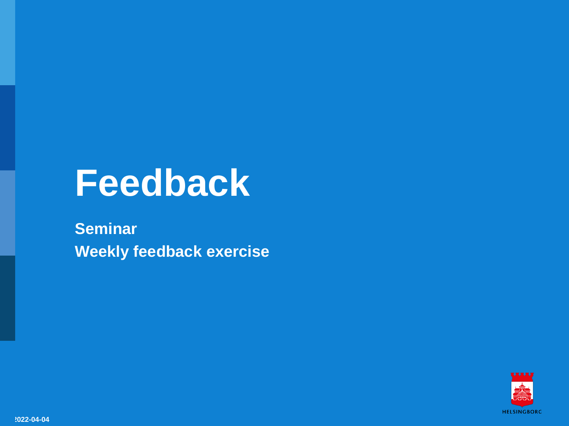### **Feedback**

**Seminar Weekly feedback exercise**

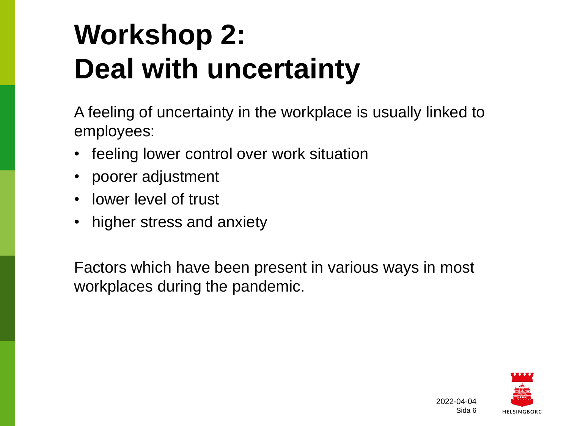#### **Workshop 2: Deal with uncertainty**

A feeling of uncertainty in the workplace is usually linked to employees:

- feeling lower control over work situation
- poorer adjustment
- lower level of trust

**2022-04-04**

• higher stress and anxiety

Factors which have been present in various ways in most workplaces during the pandemic.

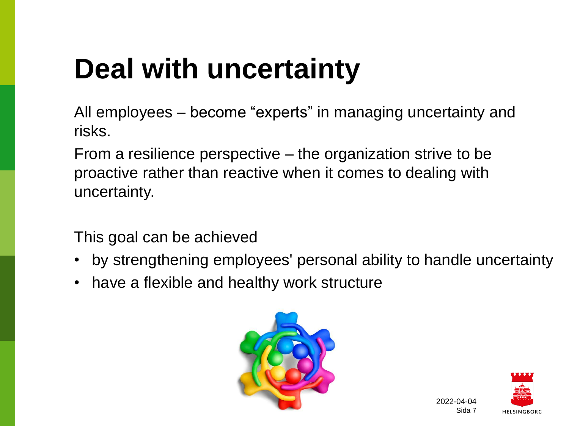#### **Deal with uncertainty**

All employees – become "experts" in managing uncertainty and risks.

From a resilience perspective – the organization strive to be proactive rather than reactive when it comes to dealing with uncertainty.

This goal can be achieved

- by strengthening employees' personal ability to handle uncertainty
- have a flexible and healthy work structure





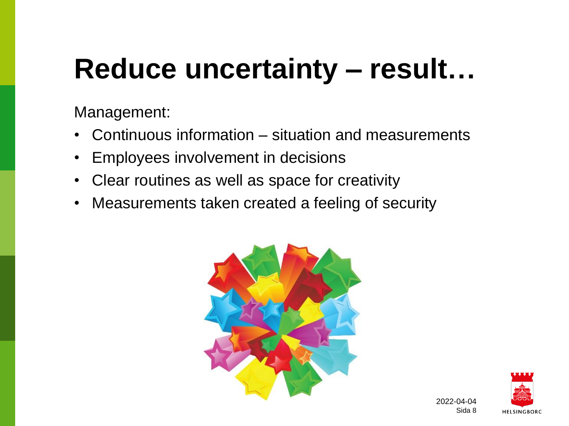#### **Reduce uncertainty – result…**

Management:

- Continuous information situation and measurements
- Employees involvement in decisions
- Clear routines as well as space for creativity
- Measurements taken created a feeling of security



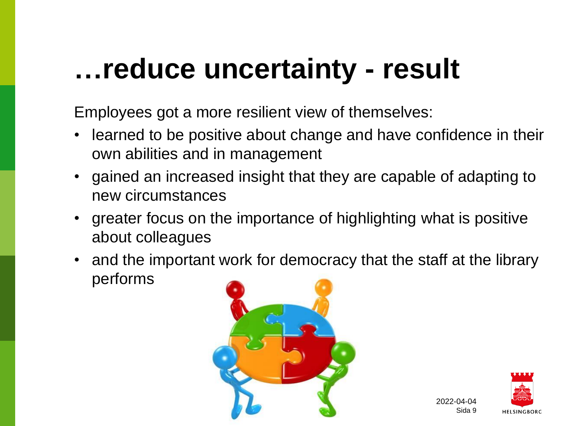#### **…reduce uncertainty - result**

Employees got a more resilient view of themselves:

- learned to be positive about change and have confidence in their own abilities and in management
- gained an increased insight that they are capable of adapting to new circumstances
- greater focus on the importance of highlighting what is positive about colleagues
- and the important work for democracy that the staff at the library performs



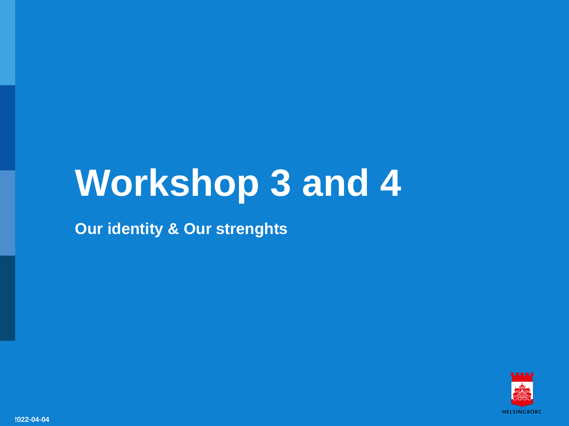### **Workshop 3 and 4**

**Our identity & Our strenghts**

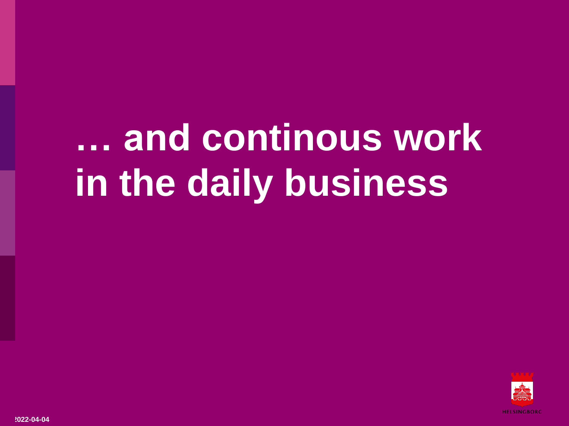## **… and continous work in the daily business**